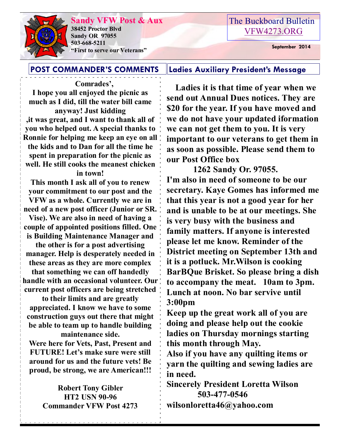#### **Sandy VFW Post & Aux**



**38452 Proctor Blvd Sandy OR 97055 503-668-5211 "First to serve our Veterans" September 2014** 

### The Buckboard Bulletin [VFW4273.ORG](http://vfw4273.org/)

#### **POST COMMANDER'S COMMENTS Ladies Auxiliary President's Message**

 **Comrades', I hope you all enjoyed the picnic as much as I did, till the water bill came anyway! Just kidding ,it was great, and I want to thank all of you who helped out. A special thanks to Ronnie for helping me keep an eye on all the kids and to Dan for all the time he spent in preparation for the picnic as well. He still cooks the meanest chicken in town!**

**This month I ask all of you to renew your commitment to our post and the VFW as a whole. Currently we are in need of a new post officer (Junior or SR. Vise). We are also in need of having a** 

**couple of appointed positions filled. One is Building Maintenance Manager and** 

**the other is for a post advertising manager. Help is desperately needed in these areas as they are more complex** 

**that something we can off handedly handle with an occasional volunteer. Our current post officers are being stretched** 

**to their limits and are greatly appreciated. I know we have to some construction guys out there that might be able to team up to handle building maintenance side.**

**Were here for Vets, Past, Present and FUTURE! Let's make sure were still around for us and the future vets! Be proud, be strong, we are American!!!**

> **Robert Tony Gibler HT2 USN 90-96 Commander VFW Post 4273**

 **Ladies it is that time of year when we send out Annual Dues notices. They are \$20 for the year. If you have moved and we do not have your updated iformation we can not get them to you. It is very important to our veterans to get them in as soon as possible. Please send them to our Post Office box** 

 **1262 Sandy Or. 97055. I'm also in need of someone to be our secretary. Kaye Gomes has informed me that this year is not a good year for her and is unable to be at our meetings. She is very busy with the business and family matters. If anyone is interested please let me know. Reminder of the District meeting on September 13th and it is a potluck. Mr.Wilson is cooking BarBQue Brisket. So please bring a dish to accompany the meat. 10am to 3pm. Lunch at noon. No bar servive until 3:00pm**

**Keep up the great work all of you are doing and please help out the cookie ladies on Thursday mornings starting this month through May.**

**Also if you have any quilting items or yarn the quilting and sewing ladies are in need.**

**Sincerely President Loretta Wilson 503-477-0546 wilsonloretta46@yahoo.com**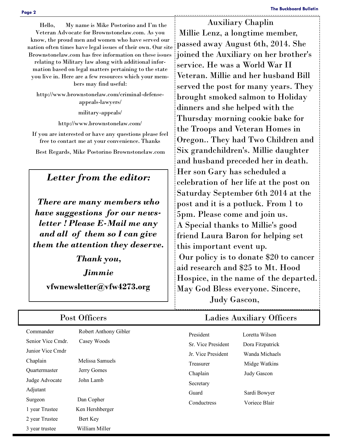Hello, My name is Mike Postorino and I'm the Veteran Advocate for Brownstonelaw.com. As you know, the proud men and women who have served our nation often times have legal issues of their own. Our site Brownstonelaw.com has free information on these issues relating to Military law along with additional information based on legal matters pertaining to the state you live in. Here are a few resources which your mem-

bers may find useful:

http://www.brownstonelaw.com/criminal-defenseappeals-lawyers/

military-appeals/

http://www.brownstonelaw.com/

If you are interested or have any questions please feel free to contact me at your convenience. Thanks

Best Regards, Mike Postorino Brownstonelaw.com

#### *Letter from the editor:*

*There are many members who have suggestions for our newsletter ! Please E-Mail me any and all of them so I can give them the attention they deserve.* 

*Thank you,* 

*Jimmie*

**vfwnewsletter@vfw4273.org**

Commander Robert Anthony Gibler Senior Vice Cmdr. Casey Woods Junior Vice Cmdr Chaplain Melissa Samuels Quartermaster Jerry Gomes Judge Advocate John Lamb Adjutant Surgeon Dan Copher 1 year Trustee Ken Hershberger 2 year Trustee Bert Key 3 year trustee William Miller President Loretta Wilson Sr. Vice President Dora Fitzpatrick Jr. Vice President Wanda Michaels Treasurer Midge Watkins Chaplain Judy Gascon Secretary Guard Sardi Bowyer Conductress Voriece Blair

 Auxiliary Chaplin Millie Lenz, a longtime member, passed away August 6th, 2014. She joined the Auxiliary on her brother's service. He was a World War II Veteran. Millie and her husband Bill served the post for many years. They brought smoked salmon to Holiday dinners and she helped with the Thursday morning cookie bake for the Troops and Veteran Homes in Oregon.. They had Two Children and Six grandchildren's. Millie daughter and husband preceded her in death. Her son Gary has scheduled a celebration of her life at the post on Saturday September 6th 2014 at the post and it is a potluck. From 1 to 5pm. Please come and join us. A Special thanks to Millie's good friend Laura Baron for helping set this important event up. Our policy is to donate \$20 to cancer aid research and \$25 to Mt. Hood Hospice, in the name of the departed. May God Bless everyone. Sincere, Judy Gascon,

#### Post Officers Ladies Auxiliary Officers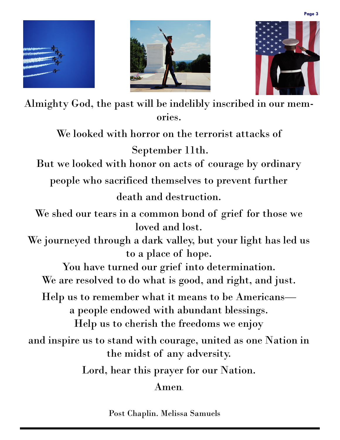





Almighty God, the past will be indelibly inscribed in our memories.

We looked with horror on the terrorist attacks of

September 11th.

But we looked with honor on acts of courage by ordinary

people who sacrificed themselves to prevent further

death and destruction.

We shed our tears in a common bond of grief for those we loved and lost.

We journeyed through a dark valley, but your light has led us to a place of hope.

You have turned our grief into determination. We are resolved to do what is good, and right, and just.

Help us to remember what it means to be Americans a people endowed with abundant blessings. Help us to cherish the freedoms we enjoy

and inspire us to stand with courage, united as one Nation in the midst of any adversity.

Lord, hear this prayer for our Nation.

Amen.

Post Chaplin. Melissa Samuels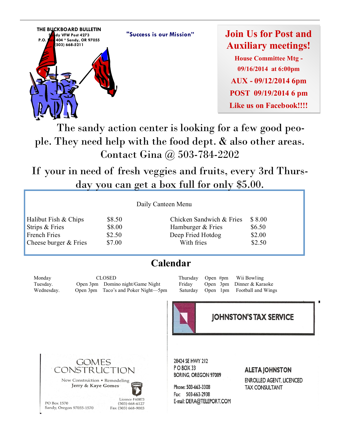**"Success is our Mission"**



**Join Us for Post and Auxiliary meetings!**

**House Committee Mtg - 09/16/2014 at 6:00pm AUX - 09/12/2014 6pm POST 09/19/2014 6 pm Like us on Facebook!!!!**

 The sandy action center is looking for a few good people. They need help with the food dept. & also other areas. Contact Gina @ 503-784-2202

If your in need of fresh veggies and fruits, every 3rd Thursday you can get a box full for only \$5.00.

Halibut Fish  $& Chips$  \$8.50 Strips  $&$  Fries  $\qquad$  \$8.00 French Fries \$2.50 Cheese burger  $&$  Fries  $$7.00$ 

| Chicken Sandwich & Fries | \$8.00 |
|--------------------------|--------|
| Hamburger & Fries        | \$6.50 |
| Deep Fried Hotdog        | \$2.00 |
| With fries               | \$2.50 |

## **Calendar**

Monday CLOSED Thursday Open #pm Wii Bowling Tuesday. Open 3pm Domino night/Game Night Friday Open 3pm Dinner & Karaoke Wednesday. Open 3pm Taco's and Poker Night—5pm Saturday Open 1pm Football and Wings



#### **JOHNSTON'S TAX SERVICE**



Jerry & Kaye Gomes



 $(503) 668 - 6127$ 

Fax (503) 668-9003

PO Box 1570 Sandy, Oregon 97055-1570 28424 SE HWY 212 POBOX 33 **BORING, OREGON 97009** 

Phone: 503-663-3308 Fax: 503-663-2938 E-mail: DERA@TELEPORT.COM

#### **ALETA JOHNSTON**

**ENROLLED AGENT, LICENCED TAX CONSULTANT**